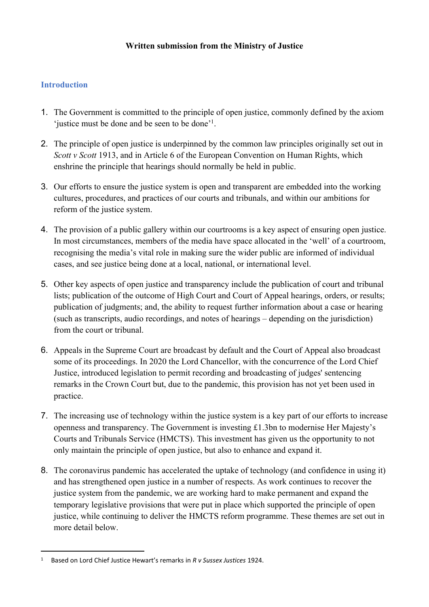### **Written submission from the Ministry of Justice**

# **Introduction**

- 1. The Government is committed to the principle of open justice, commonly defined by the axiom 'justice must be done and be seen to be done'<sup>1</sup>.
- 2. The principle of open justice is underpinned by the common law principles originally set out in *Scott v Scott* 1913, and in Article 6 of the European Convention on Human Rights, which enshrine the principle that hearings should normally be held in public.
- 3. Our efforts to ensure the justice system is open and transparent are embedded into the working cultures, procedures, and practices of our courts and tribunals, and within our ambitions for reform of the justice system.
- 4. The provision of a public gallery within our courtrooms is a key aspect of ensuring open justice. In most circumstances, members of the media have space allocated in the 'well' of a courtroom, recognising the media's vital role in making sure the wider public are informed of individual cases, and see justice being done at a local, national, or international level.
- 5. Other key aspects of open justice and transparency include the publication of court and tribunal lists; publication of the outcome of High Court and Court of Appeal hearings, orders, or results; publication of judgments; and, the ability to request further information about a case or hearing (such as transcripts, audio recordings, and notes of hearings – depending on the jurisdiction) from the court or tribunal.
- 6. Appeals in the Supreme Court are broadcast by default and the Court of Appeal also broadcast some of its proceedings. In 2020 the Lord Chancellor, with the concurrence of the Lord Chief Justice, introduced legislation to permit recording and broadcasting of judges' sentencing remarks in the Crown Court but, due to the pandemic, this provision has not yet been used in practice.
- 7. The increasing use of technology within the justice system is a key part of our efforts to increase openness and transparency. The Government is investing £1.3bn to modernise Her Majesty's Courts and Tribunals Service (HMCTS). This investment has given us the opportunity to not only maintain the principle of open justice, but also to enhance and expand it.
- 8. The coronavirus pandemic has accelerated the uptake of technology (and confidence in using it) and has strengthened open justice in a number of respects. As work continues to recover the justice system from the pandemic, we are working hard to make permanent and expand the temporary legislative provisions that were put in place which supported the principle of open justice, while continuing to deliver the HMCTS reform programme. These themes are set out in more detail below.

<sup>1</sup> Based on Lord Chief Justice Hewart's remarks in *R v Sussex Justices* 1924.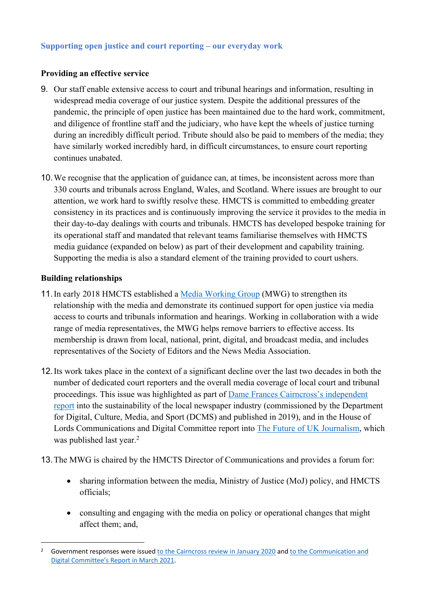#### **Supporting open justice and court reporting – our everyday work**

#### **Providing an effective service**

- 9. Our staff enable extensive access to court and tribunal hearings and information, resulting in widespread media coverage of our justice system. Despite the additional pressures of the pandemic, the principle of open justice has been maintained due to the hard work, commitment, and diligence of frontline staff and the judiciary, who have kept the wheels of justice turning during an incredibly difficult period. Tribute should also be paid to members of the media; they have similarly worked incredibly hard, in difficult circumstances, to ensure court reporting continues unabated.
- 10.We recognise that the application of guidance can, at times, be inconsistent across more than 330 courts and tribunals across England, Wales, and Scotland. Where issues are brought to our attention, we work hard to swiftly resolve these. HMCTS is committed to embedding greater consistency in its practices and is continuously improving the service it provides to the media in their day-to-day dealings with courts and tribunals. HMCTS has developed bespoke training for its operational staff and mandated that relevant teams familiarise themselves with HMCTS media guidance (expanded on below) as part of their development and capability training. Supporting the media is also a standard element of the training provided to court ushers.

#### **Building relationships**

- 11. In early 2018 HMCTS established a [Media](https://www.gov.uk/guidance/hm-courts-and-tribunals-service-engagement-groups#media-engagement-groups) [Working](https://www.gov.uk/guidance/hm-courts-and-tribunals-service-engagement-groups#media-engagement-groups) [Group](https://www.gov.uk/guidance/hm-courts-and-tribunals-service-engagement-groups#media-engagement-groups) (MWG) to strengthen its relationship with the media and demonstrate its continued support for open justice via media access to courts and tribunals information and hearings. Working in collaboration with a wide range of media representatives, the MWG helps remove barriers to effective access. Its membership is drawn from local, national, print, digital, and broadcast media, and includes representatives of the Society of Editors and the News Media Association.
- 12.Its work takes place in the context of a significant decline over the last two decades in both the number of dedicated court reporters and the overall media coverage of local court and tribunal proceedings. This issue was highlighted as part of [Dame](https://www.gov.uk/government/publications/the-cairncross-review-a-sustainable-future-for-journalism) [Frances](https://www.gov.uk/government/publications/the-cairncross-review-a-sustainable-future-for-journalism) [Cairncross's](https://www.gov.uk/government/publications/the-cairncross-review-a-sustainable-future-for-journalism) [independent](https://www.gov.uk/government/publications/the-cairncross-review-a-sustainable-future-for-journalism) [report](https://www.gov.uk/government/publications/the-cairncross-review-a-sustainable-future-for-journalism) into the sustainability of the local newspaper industry (commissioned by the Department for Digital, Culture, Media, and Sport (DCMS) and published in 2019), and in the House of Lords Communications and Digital Committee report into [The](https://committees.parliament.uk/work/28/the-future-of-journalism/publications/) [Future](https://committees.parliament.uk/work/28/the-future-of-journalism/publications/) [of](https://committees.parliament.uk/work/28/the-future-of-journalism/publications/) [UK](https://committees.parliament.uk/work/28/the-future-of-journalism/publications/) [Journalism,](https://committees.parliament.uk/work/28/the-future-of-journalism/publications/) which was published last year.<sup>2</sup>
- 13.The MWG is chaired by the HMCTS Director of Communications and provides a forum for:
	- sharing information between the media, Ministry of Justice (MoJ) policy, and HMCTS officials;
	- consulting and engaging with the media on policy or operational changes that might affect them; and,

Government responses were issued [to](https://committees.parliament.uk/publications/4899/documents/49157/default/) [the](https://committees.parliament.uk/publications/4899/documents/49157/default/) [Cairncross](https://www.gov.uk/government/publications/the-cairncross-review-a-sustainable-future-for-journalism/government-response-to-the-cairncross-review-a-sustainable-future-for-journalism#response-to-recommendations) [review](https://www.gov.uk/government/publications/the-cairncross-review-a-sustainable-future-for-journalism/government-response-to-the-cairncross-review-a-sustainable-future-for-journalism#response-to-recommendations) [in](https://www.gov.uk/government/publications/the-cairncross-review-a-sustainable-future-for-journalism/government-response-to-the-cairncross-review-a-sustainable-future-for-journalism#response-to-recommendations) [January](https://www.gov.uk/government/publications/the-cairncross-review-a-sustainable-future-for-journalism/government-response-to-the-cairncross-review-a-sustainable-future-for-journalism#response-to-recommendations) [2020](https://www.gov.uk/government/publications/the-cairncross-review-a-sustainable-future-for-journalism/government-response-to-the-cairncross-review-a-sustainable-future-for-journalism#response-to-recommendations) and to the [Communication](https://committees.parliament.uk/publications/4899/documents/49157/default/) [and](https://committees.parliament.uk/publications/4899/documents/49157/default/) [Digital](https://committees.parliament.uk/publications/4899/documents/49157/default/) [Committee's](https://committees.parliament.uk/publications/4899/documents/49157/default/) [Report](https://committees.parliament.uk/publications/4899/documents/49157/default/) [in](https://committees.parliament.uk/publications/4899/documents/49157/default/) [March](https://committees.parliament.uk/publications/4899/documents/49157/default/) [2021.](https://committees.parliament.uk/publications/4899/documents/49157/default/)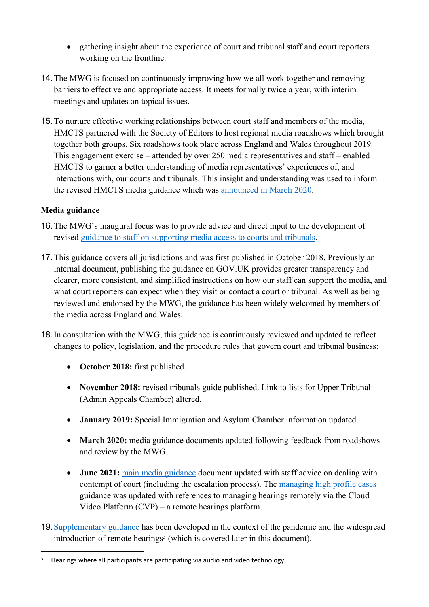- gathering insight about the experience of court and tribunal staff and court reporters working on the frontline.
- 14.The MWG is focused on continuously improving how we all work together and removing barriers to effective and appropriate access. It meets formally twice a year, with interim meetings and updates on topical issues.
- 15.To nurture effective working relationships between court staff and members of the media, HMCTS partnered with the Society of Editors to host regional media roadshows which brought together both groups. Six roadshows took place across England and Wales throughout 2019. This engagement exercise – attended by over 250 media representatives and staff – enabled HMCTS to garner a better understanding of media representatives' experiences of, and interactions with, our courts and tribunals. This insight and understanding was used to inform the revised HMCTS media guidance which was [announced](https://www.gov.uk/government/news/updated-media-guidance-will-ensure-easier-access-to-court-information) [in](https://www.gov.uk/government/news/updated-media-guidance-will-ensure-easier-access-to-court-information) [March](https://www.gov.uk/government/news/updated-media-guidance-will-ensure-easier-access-to-court-information) [2020.](https://www.gov.uk/government/news/updated-media-guidance-will-ensure-easier-access-to-court-information)

# **Media guidance**

- 16.The MWG's inaugural focus was to provide advice and direct input to the development of revised [guidance](https://www.gov.uk/government/publications/guidance-to-staff-on-supporting-media-access-to-courts-and-tribunals) [to](https://www.gov.uk/government/publications/guidance-to-staff-on-supporting-media-access-to-courts-and-tribunals) [staff](https://www.gov.uk/government/publications/guidance-to-staff-on-supporting-media-access-to-courts-and-tribunals) [on](https://www.gov.uk/government/publications/guidance-to-staff-on-supporting-media-access-to-courts-and-tribunals) [supporting](https://www.gov.uk/government/publications/guidance-to-staff-on-supporting-media-access-to-courts-and-tribunals) [media](https://www.gov.uk/government/publications/guidance-to-staff-on-supporting-media-access-to-courts-and-tribunals) [access](https://www.gov.uk/government/publications/guidance-to-staff-on-supporting-media-access-to-courts-and-tribunals) [to](https://www.gov.uk/government/publications/guidance-to-staff-on-supporting-media-access-to-courts-and-tribunals) [courts](https://www.gov.uk/government/publications/guidance-to-staff-on-supporting-media-access-to-courts-and-tribunals) [and](https://www.gov.uk/government/publications/guidance-to-staff-on-supporting-media-access-to-courts-and-tribunals) [tribunals.](https://www.gov.uk/government/publications/guidance-to-staff-on-supporting-media-access-to-courts-and-tribunals)
- 17.This guidance covers all jurisdictions and was first published in October 2018. Previously an internal document, publishing the guidance on GOV.UK provides greater transparency and clearer, more consistent, and simplified instructions on how our staff can support the media, and what court reporters can expect when they visit or contact a court or tribunal. As well as being reviewed and endorsed by the MWG, the guidance has been widely welcomed by members of the media across England and Wales.
- 18.In consultation with the MWG, this guidance is continuously reviewed and updated to reflect changes to policy, legislation, and the procedure rules that govern court and tribunal business:
	- **October 2018:** first published.
	- November 2018: revised tribunals guide published. Link to lists for Upper Tribunal (Admin Appeals Chamber) altered.
	- **January 2019:** Special Immigration and Asylum Chamber information updated.
	- **March 2020:** media guidance documents updated following feedback from roadshows and review by the MWG.
	- **June 2021:** [main](https://assets.publishing.service.gov.uk/government/uploads/system/uploads/attachment_data/file/996681/HMCTS314_HMCTS_media_guidance_June_2021.pdf) [media](https://assets.publishing.service.gov.uk/government/uploads/system/uploads/attachment_data/file/996681/HMCTS314_HMCTS_media_guidance_June_2021.pdf) [guidance](https://assets.publishing.service.gov.uk/government/uploads/system/uploads/attachment_data/file/996681/HMCTS314_HMCTS_media_guidance_June_2021.pdf) document updated with staff advice on dealing with contempt of court (including the escalation process). The [managing](https://assets.publishing.service.gov.uk/government/uploads/system/uploads/attachment_data/file/996682/HMCTS314_Managing_media_access_to_high_profile_cases_June_2021.pdf) [high](https://assets.publishing.service.gov.uk/government/uploads/system/uploads/attachment_data/file/996682/HMCTS314_Managing_media_access_to_high_profile_cases_June_2021.pdf) [profile](https://assets.publishing.service.gov.uk/government/uploads/system/uploads/attachment_data/file/996682/HMCTS314_Managing_media_access_to_high_profile_cases_June_2021.pdf) [cases](https://assets.publishing.service.gov.uk/government/uploads/system/uploads/attachment_data/file/996682/HMCTS314_Managing_media_access_to_high_profile_cases_June_2021.pdf) guidance was updated with references to managing hearings remotely via the Cloud Video Platform (CVP) – a remote hearings platform.
- 19.[Supplementary](https://www.gov.uk/guidance/hmcts-telephone-and-video-hearings-during-coronavirus-outbreak) [guidance](https://www.gov.uk/guidance/hmcts-telephone-and-video-hearings-during-coronavirus-outbreak) has been developed in the context of the pandemic and the widespread introduction of remote hearings<sup>3</sup> (which is covered later in this document).

 $3$  Hearings where all participants are participating via audio and video technology.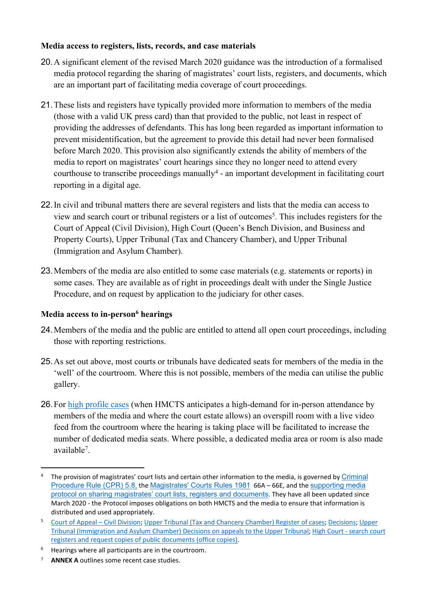### **Media access to registers, lists, records, and case materials**

- 20.A significant element of the revised March 2020 guidance was the introduction of a formalised media protocol regarding the sharing of magistrates' court lists, registers, and documents, which are an important part of facilitating media coverage of court proceedings.
- 21.These lists and registers have typically provided more information to members of the media (those with a valid UK press card) than that provided to the public, not least in respect of providing the addresses of defendants. This has long been regarded as important information to prevent misidentification, but the agreement to provide this detail had never been formalised before March 2020. This provision also significantly extends the ability of members of the media to report on magistrates' court hearings since they no longer need to attend every  $counthouse$  to transcribe proceedings manually<sup>4</sup> - an important development in facilitating court reporting in a digital age.
- 22.In civil and tribunal matters there are several registers and lists that the media can access to view and search court or tribunal registers or a list of outcomes<sup>5</sup>. This includes registers for the Court of Appeal (Civil Division), High Court (Queen's Bench Division, and Business and Property Courts), Upper Tribunal (Tax and Chancery Chamber), and Upper Tribunal (Immigration and Asylum Chamber).
- 23.Members of the media are also entitled to some case materials (e.g. statements or reports) in some cases. They are available as of right in proceedings dealt with under the Single Justice Procedure, and on request by application to the judiciary for other cases.

# **Media access to in-person<sup>6</sup> hearings**

- 24.Members of the media and the public are entitled to attend all open court proceedings, including those with reporting restrictions.
- 25.As set out above, most courts or tribunals have dedicated seats for members of the media in the 'well' of the courtroom. Where this is not possible, members of the media can utilise the public gallery.
- 26.For [high](https://assets.publishing.service.gov.uk/government/uploads/system/uploads/attachment_data/file/996682/HMCTS314_Managing_media_access_to_high_profile_cases_June_2021.pdf) [profile](https://assets.publishing.service.gov.uk/government/uploads/system/uploads/attachment_data/file/996682/HMCTS314_Managing_media_access_to_high_profile_cases_June_2021.pdf) [cases](https://assets.publishing.service.gov.uk/government/uploads/system/uploads/attachment_data/file/996682/HMCTS314_Managing_media_access_to_high_profile_cases_June_2021.pdf) (when HMCTS anticipates a high-demand for in-person attendance by members of the media and where the court estate allows) an overspill room with a live video feed from the courtroom where the hearing is taking place will be facilitated to increase the number of dedicated media seats. Where possible, a dedicated media area or room is also made available<sup>7</sup> .

The provision of magistrates' court lists and certain other information to the media, is governed by [Criminal](https://www.legislation.gov.uk/uksi/2020/759/part/5/made) [Procedure](https://www.legislation.gov.uk/uksi/2020/759/part/5/made) [Rule](https://www.legislation.gov.uk/uksi/2020/759/part/5/made) [\(CPR\)](https://www.legislation.gov.uk/uksi/2020/759/part/5/made) [5.8,](https://www.legislation.gov.uk/uksi/2020/759/part/5/made) the [Magistrates'](https://assets.publishing.service.gov.uk/government/uploads/system/uploads/attachment_data/file/1005756/magistrates-courts-rules-1981-jul-21.docx) [Courts](https://assets.publishing.service.gov.uk/government/uploads/system/uploads/attachment_data/file/1005756/magistrates-courts-rules-1981-jul-21.docx) [Rules](https://assets.publishing.service.gov.uk/government/uploads/system/uploads/attachment_data/file/1005756/magistrates-courts-rules-1981-jul-21.docx) [1981](https://assets.publishing.service.gov.uk/government/uploads/system/uploads/attachment_data/file/1005756/magistrates-courts-rules-1981-jul-21.docx) 66A – 66E, and the [supporting](https://assets.publishing.service.gov.uk/government/uploads/system/uploads/attachment_data/file/869795/HMCTS_Protocol_on_sharing_court_lists-registers_and_docs_with_media_March_2020.pdf) [media](https://assets.publishing.service.gov.uk/government/uploads/system/uploads/attachment_data/file/869795/HMCTS_Protocol_on_sharing_court_lists-registers_and_docs_with_media_March_2020.pdf) [protocol](https://assets.publishing.service.gov.uk/government/uploads/system/uploads/attachment_data/file/869795/HMCTS_Protocol_on_sharing_court_lists-registers_and_docs_with_media_March_2020.pdf) [on](https://assets.publishing.service.gov.uk/government/uploads/system/uploads/attachment_data/file/869795/HMCTS_Protocol_on_sharing_court_lists-registers_and_docs_with_media_March_2020.pdf) [sharing](https://assets.publishing.service.gov.uk/government/uploads/system/uploads/attachment_data/file/869795/HMCTS_Protocol_on_sharing_court_lists-registers_and_docs_with_media_March_2020.pdf) [magistrates'](https://assets.publishing.service.gov.uk/government/uploads/system/uploads/attachment_data/file/869795/HMCTS_Protocol_on_sharing_court_lists-registers_and_docs_with_media_March_2020.pdf) [court](https://assets.publishing.service.gov.uk/government/uploads/system/uploads/attachment_data/file/869795/HMCTS_Protocol_on_sharing_court_lists-registers_and_docs_with_media_March_2020.pdf) [lists,](https://assets.publishing.service.gov.uk/government/uploads/system/uploads/attachment_data/file/869795/HMCTS_Protocol_on_sharing_court_lists-registers_and_docs_with_media_March_2020.pdf) [registers](https://assets.publishing.service.gov.uk/government/uploads/system/uploads/attachment_data/file/869795/HMCTS_Protocol_on_sharing_court_lists-registers_and_docs_with_media_March_2020.pdf) [and](https://assets.publishing.service.gov.uk/government/uploads/system/uploads/attachment_data/file/869795/HMCTS_Protocol_on_sharing_court_lists-registers_and_docs_with_media_March_2020.pdf) [documents](https://assets.publishing.service.gov.uk/government/uploads/system/uploads/attachment_data/file/869795/HMCTS_Protocol_on_sharing_court_lists-registers_and_docs_with_media_March_2020.pdf). They have all been updated since March 2020 - the Protocol imposes obligations on both HMCTS and the media to ensure that information is distributed and used appropriately.

<sup>5</sup> [Court](https://casetracker.justice.gov.uk/) [of](https://casetracker.justice.gov.uk/) [Appeal](https://casetracker.justice.gov.uk/) [–](https://casetracker.justice.gov.uk/) [Civil](https://casetracker.justice.gov.uk/) [Division](https://casetracker.justice.gov.uk/); [Upper](https://www.gov.uk/government/publications/upper-tribunal-tax-and-chancery-register-of-cases) [Tribunal](https://www.gov.uk/government/publications/upper-tribunal-tax-and-chancery-register-of-cases) [\(Tax](https://www.gov.uk/government/publications/upper-tribunal-tax-and-chancery-register-of-cases) [and](https://www.gov.uk/government/publications/upper-tribunal-tax-and-chancery-register-of-cases) [Chancery](https://www.gov.uk/government/publications/upper-tribunal-tax-and-chancery-register-of-cases) [Chamber\)](https://www.gov.uk/government/publications/upper-tribunal-tax-and-chancery-register-of-cases) [Register](https://www.gov.uk/government/publications/upper-tribunal-tax-and-chancery-register-of-cases) [of](https://www.gov.uk/government/publications/upper-tribunal-tax-and-chancery-register-of-cases) [cases;](https://www.gov.uk/government/publications/upper-tribunal-tax-and-chancery-register-of-cases) [Decisions;](http://taxandchancery_ut.decisions.tribunals.gov.uk/) [Upper](https://tribunalsdecisions.service.gov.uk/utiac) [Tribunal](https://tribunalsdecisions.service.gov.uk/utiac) [\(Immigration](https://tribunalsdecisions.service.gov.uk/utiac) [and](https://tribunalsdecisions.service.gov.uk/utiac) [Asylum](https://tribunalsdecisions.service.gov.uk/utiac) [Chamber\)](https://tribunalsdecisions.service.gov.uk/utiac) [Decisions](https://tribunalsdecisions.service.gov.uk/utiac) [on](https://tribunalsdecisions.service.gov.uk/utiac) [appeals](https://tribunalsdecisions.service.gov.uk/utiac) [to](https://tribunalsdecisions.service.gov.uk/utiac) [the](https://tribunalsdecisions.service.gov.uk/utiac) [Upper](https://tribunalsdecisions.service.gov.uk/utiac) [Tribunal;](https://tribunalsdecisions.service.gov.uk/utiac) [High](https://www.gov.uk/guidance/hmcts-e-filing-service-for-citizens-and-professionals) [Court](https://www.gov.uk/guidance/hmcts-e-filing-service-for-citizens-and-professionals) [-](https://www.gov.uk/guidance/hmcts-e-filing-service-for-citizens-and-professionals) [search](https://www.gov.uk/guidance/hmcts-e-filing-service-for-citizens-and-professionals) [court](https://www.gov.uk/guidance/hmcts-e-filing-service-for-citizens-and-professionals) [registers](https://www.gov.uk/guidance/hmcts-e-filing-service-for-citizens-and-professionals) [and](https://www.gov.uk/guidance/hmcts-e-filing-service-for-citizens-and-professionals) [request](https://www.gov.uk/guidance/hmcts-e-filing-service-for-citizens-and-professionals) [copies](https://www.gov.uk/guidance/hmcts-e-filing-service-for-citizens-and-professionals) [of](https://www.gov.uk/guidance/hmcts-e-filing-service-for-citizens-and-professionals) [public](https://www.gov.uk/guidance/hmcts-e-filing-service-for-citizens-and-professionals) [documents](https://www.gov.uk/guidance/hmcts-e-filing-service-for-citizens-and-professionals) [\(office](https://www.gov.uk/guidance/hmcts-e-filing-service-for-citizens-and-professionals) [copies\).](https://www.gov.uk/guidance/hmcts-e-filing-service-for-citizens-and-professionals)

 $6$  Hearings where all participants are in the courtroom.

<sup>7</sup> **ANNEX A** outlines some recent case studies.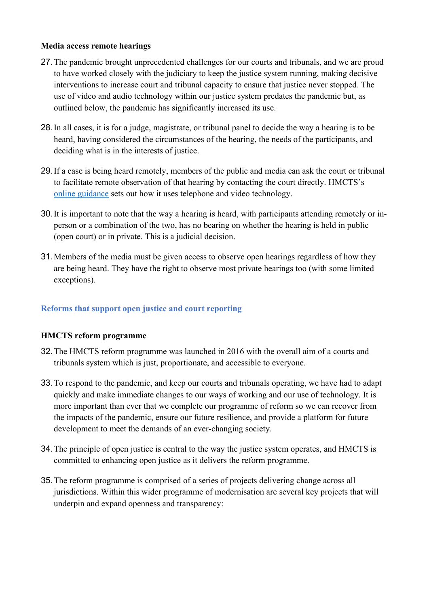#### **Media access remote hearings**

- 27.The pandemic brought unprecedented challenges for our courts and tribunals, and we are proud to have worked closely with the judiciary to keep the justice system running, making decisive interventions to increase court and tribunal capacity to ensure that justice never stopped*.* The use of video and audio technology within our justice system predates the pandemic but, as outlined below, the pandemic has significantly increased its use.
- 28.In all cases, it is for a judge, magistrate, or tribunal panel to decide the way a hearing is to be heard, having considered the circumstances of the hearing, the needs of the participants, and deciding what is in the interests of justice.
- 29.If a case is being heard remotely, members of the public and media can ask the court or tribunal to facilitate remote observation of that hearing by contacting the court directly. HMCTS's [online](https://www.gov.uk/guidance/hmcts-telephone-and-video-hearings-during-coronavirus-outbreak) [guidance](https://www.gov.uk/guidance/hmcts-telephone-and-video-hearings-during-coronavirus-outbreak) sets out how it uses telephone and video technology.
- 30.It is important to note that the way a hearing is heard, with participants attending remotely or inperson or a combination of the two, has no bearing on whether the hearing is held in public (open court) or in private. This is a judicial decision.
- 31.Members of the media must be given access to observe open hearings regardless of how they are being heard. They have the right to observe most private hearings too (with some limited exceptions).

#### **Reforms that support open justice and court reporting**

#### **HMCTS reform programme**

- 32.The HMCTS reform programme was launched in 2016 with the overall aim of a courts and tribunals system which is just, proportionate, and accessible to everyone.
- 33.To respond to the pandemic, and keep our courts and tribunals operating, we have had to adapt quickly and make immediate changes to our ways of working and our use of technology. It is more important than ever that we complete our programme of reform so we can recover from the impacts of the pandemic, ensure our future resilience, and provide a platform for future development to meet the demands of an ever-changing society.
- 34.The principle of open justice is central to the way the justice system operates, and HMCTS is committed to enhancing open justice as it delivers the reform programme.
- 35.The reform programme is comprised of a series of projects delivering change across all jurisdictions. Within this wider programme of modernisation are several key projects that will underpin and expand openness and transparency: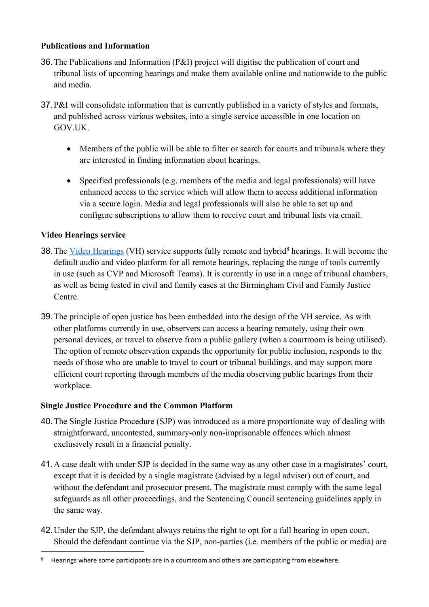### **Publications and Information**

- 36.The Publications and Information (P&I) project will digitise the publication of court and tribunal lists of upcoming hearings and make them available online and nationwide to the public and media.
- 37.P&I will consolidate information that is currently published in a variety of styles and formats, and published across various websites, into a single service accessible in one location on GOV UK.
	- Members of the public will be able to filter or search for courts and tribunals where they are interested in finding information about hearings.
	- Specified professionals (e.g. members of the media and legal professionals) will have enhanced access to the service which will allow them to access additional information via a secure login. Media and legal professionals will also be able to set up and configure subscriptions to allow them to receive court and tribunal lists via email.

## **Video Hearings service**

- 38. The [Video](https://www.gov.uk/guidance/hmcts-services-video-hearings-service) [Hearings](https://www.gov.uk/guidance/hmcts-services-video-hearings-service) (VH) service supports fully remote and hybrid<sup>8</sup> hearings. It will become the default audio and video platform for all remote hearings, replacing the range of tools currently in use (such as CVP and Microsoft Teams). It is currently in use in a range of tribunal chambers, as well as being tested in civil and family cases at the Birmingham Civil and Family Justice Centre.
- 39.The principle of open justice has been embedded into the design of the VH service. As with other platforms currently in use, observers can access a hearing remotely, using their own personal devices, or travel to observe from a public gallery (when a courtroom is being utilised). The option of remote observation expands the opportunity for public inclusion, responds to the needs of those who are unable to travel to court or tribunal buildings, and may support more efficient court reporting through members of the media observing public hearings from their workplace.

# **Single Justice Procedure and the Common Platform**

- 40.The Single Justice Procedure (SJP) was introduced as a more proportionate way of dealing with straightforward, uncontested, summary-only non-imprisonable offences which almost exclusively result in a financial penalty.
- 41.A case dealt with under SJP is decided in the same way as any other case in a magistrates' court, except that it is decided by a single magistrate (advised by a legal adviser) out of court, and without the defendant and prosecutor present. The magistrate must comply with the same legal safeguards as all other proceedings, and the Sentencing Council sentencing guidelines apply in the same way.
- 42.Under the SJP, the defendant always retains the right to opt for a full hearing in open court. Should the defendant continue via the SJP, non-parties (i.e. members of the public or media) are

<sup>&</sup>lt;sup>8</sup> Hearings where some participants are in a courtroom and others are participating from elsewhere.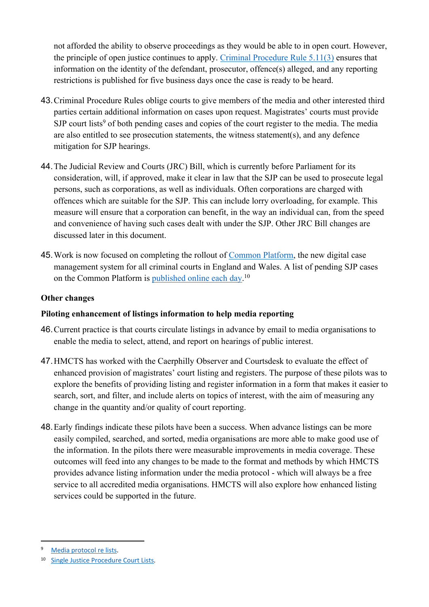not afforded the ability to observe proceedings as they would be able to in open court. However, the principle of open justice continues to apply. [Criminal](https://www.legislation.gov.uk/cy/uksi/2021/849/made) [Procedure](https://www.legislation.gov.uk/cy/uksi/2021/849/made) [Rule](https://www.legislation.gov.uk/cy/uksi/2021/849/made) [5.11\(3\)](https://www.legislation.gov.uk/cy/uksi/2021/849/made) ensures that information on the identity of the defendant, prosecutor, offence(s) alleged, and any reporting restrictions is published for five business days once the case is ready to be heard.

- 43.Criminal Procedure Rules oblige courts to give members of the media and other interested third parties certain additional information on cases upon request. Magistrates' courts must provide SJP court lists<sup>9</sup> of both pending cases and copies of the court register to the media. The media are also entitled to see prosecution statements, the witness statement(s), and any defence mitigation for SJP hearings.
- 44.The Judicial Review and Courts (JRC) Bill, which is currently before Parliament for its consideration, will, if approved, make it clear in law that the SJP can be used to prosecute legal persons, such as corporations, as well as individuals. Often corporations are charged with offences which are suitable for the SJP. This can include lorry overloading, for example. This measure will ensure that a corporation can benefit, in the way an individual can, from the speed and convenience of having such cases dealt with under the SJP. Other JRC Bill changes are discussed later in this document.
- 45.Work is now focused on completing the rollout of [Common](https://www.gov.uk/guidance/hmcts-services-common-platform) [Platform](https://www.gov.uk/guidance/hmcts-services-common-platform), the new digital case management system for all criminal courts in England and Wales. A list of pending SJP cases on the Common Platform is [published](https://www.gov.uk/government/publications/single-justice-procedure-court-lists) [online](https://www.gov.uk/government/publications/single-justice-procedure-court-lists) [each](https://www.gov.uk/government/publications/single-justice-procedure-court-lists) [day.](https://www.gov.uk/government/publications/single-justice-procedure-court-lists)<sup>10</sup>

# **Other changes**

# **Piloting enhancement of listings information to help media reporting**

- 46.Current practice is that courts circulate listings in advance by email to media organisations to enable the media to select, attend, and report on hearings of public interest.
- 47.HMCTS has worked with the Caerphilly Observer and Courtsdesk to evaluate the effect of enhanced provision of magistrates' court listing and registers. The purpose of these pilots was to explore the benefits of providing listing and register information in a form that makes it easier to search, sort, and filter, and include alerts on topics of interest, with the aim of measuring any change in the quantity and/or quality of court reporting.
- 48.Early findings indicate these pilots have been a success. When advance listings can be more easily compiled, searched, and sorted, media organisations are more able to make good use of the information. In the pilots there were measurable improvements in media coverage. These outcomes will feed into any changes to be made to the format and methods by which HMCTS provides advance listing information under the media protocol - which will always be a free service to all accredited media organisations. HMCTS will also explore how enhanced listing services could be supported in the future.

[Media](https://assets.publishing.service.gov.uk/government/uploads/system/uploads/attachment_data/file/869795/HMCTS_Protocol_on_sharing_court_lists-registers_and_docs_with_media_March_2020.pdf) [protocol](https://assets.publishing.service.gov.uk/government/uploads/system/uploads/attachment_data/file/869795/HMCTS_Protocol_on_sharing_court_lists-registers_and_docs_with_media_March_2020.pdf) [re](https://assets.publishing.service.gov.uk/government/uploads/system/uploads/attachment_data/file/869795/HMCTS_Protocol_on_sharing_court_lists-registers_and_docs_with_media_March_2020.pdf) [lists](https://assets.publishing.service.gov.uk/government/uploads/system/uploads/attachment_data/file/869795/HMCTS_Protocol_on_sharing_court_lists-registers_and_docs_with_media_March_2020.pdf).

<sup>10</sup> [Single](https://www.gov.uk/government/publications/single-justice-procedure-court-lists) [Justice](https://www.gov.uk/government/publications/single-justice-procedure-court-lists) [Procedure](https://www.gov.uk/government/publications/single-justice-procedure-court-lists) [Court](https://www.gov.uk/government/publications/single-justice-procedure-court-lists) [Lists.](https://www.gov.uk/government/publications/single-justice-procedure-court-lists)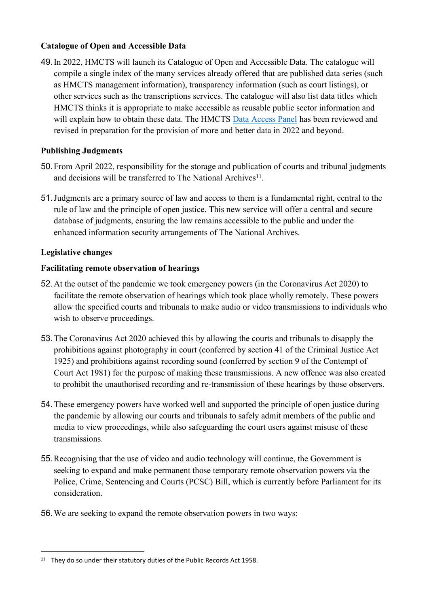# **Catalogue of Open and Accessible Data**

49.In 2022, HMCTS will launch its Catalogue of Open and Accessible Data. The catalogue will compile a single index of the many services already offered that are published data series (such as HMCTS management information), transparency information (such as court listings), or other services such as the transcriptions services. The catalogue will also list data titles which HMCTS thinks it is appropriate to make accessible as reusable public sector information and will explain how to obtain these data. The HMCTS [Data](https://www.gov.uk/guidance/access-hmcts-data-for-research) [Access](https://www.gov.uk/guidance/access-hmcts-data-for-research) [Panel](https://www.gov.uk/guidance/access-hmcts-data-for-research) has been reviewed and revised in preparation for the provision of more and better data in 2022 and beyond.

## **Publishing Judgments**

- 50.From April 2022, responsibility for the storage and publication of courts and tribunal judgments and decisions will be transferred to The National Archives<sup>11</sup>.
- 51.Judgments are a primary source of law and access to them is a fundamental right, central to the rule of law and the principle of open justice. This new service will offer a central and secure database of judgments, ensuring the law remains accessible to the public and under the enhanced information security arrangements of The National Archives.

## **Legislative changes**

## **Facilitating remote observation of hearings**

- 52.At the outset of the pandemic we took emergency powers (in the Coronavirus Act 2020) to facilitate the remote observation of hearings which took place wholly remotely. These powers allow the specified courts and tribunals to make audio or video transmissions to individuals who wish to observe proceedings.
- 53.The Coronavirus Act 2020 achieved this by allowing the courts and tribunals to disapply the prohibitions against photography in court (conferred by section 41 of the Criminal Justice Act 1925) and prohibitions against recording sound (conferred by section 9 of the Contempt of Court Act 1981) for the purpose of making these transmissions. A new offence was also created to prohibit the unauthorised recording and re-transmission of these hearings by those observers.
- 54.These emergency powers have worked well and supported the principle of open justice during the pandemic by allowing our courts and tribunals to safely admit members of the public and media to view proceedings, while also safeguarding the court users against misuse of these transmissions.
- 55.Recognising that the use of video and audio technology will continue, the Government is seeking to expand and make permanent those temporary remote observation powers via the Police, Crime, Sentencing and Courts (PCSC) Bill, which is currently before Parliament for its consideration.
- 56.We are seeking to expand the remote observation powers in two ways:

<sup>&</sup>lt;sup>11</sup> They do so under their statutory duties of the Public Records Act 1958.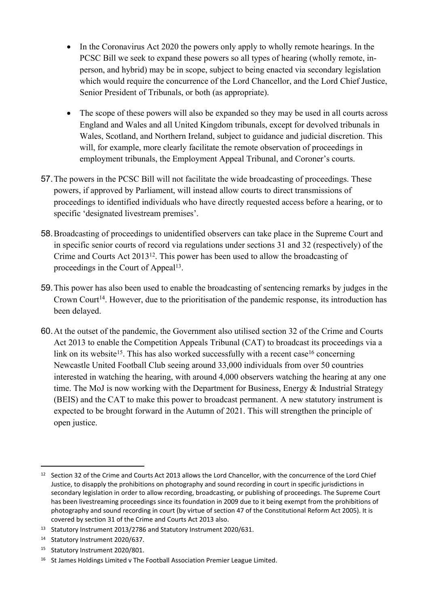- In the Coronavirus Act 2020 the powers only apply to wholly remote hearings. In the PCSC Bill we seek to expand these powers so all types of hearing (wholly remote, inperson, and hybrid) may be in scope, subject to being enacted via secondary legislation which would require the concurrence of the Lord Chancellor, and the Lord Chief Justice, Senior President of Tribunals, or both (as appropriate).
- The scope of these powers will also be expanded so they may be used in all courts across England and Wales and all United Kingdom tribunals, except for devolved tribunals in Wales, Scotland, and Northern Ireland, subject to guidance and judicial discretion. This will, for example, more clearly facilitate the remote observation of proceedings in employment tribunals, the Employment Appeal Tribunal, and Coroner's courts.
- 57.The powers in the PCSC Bill will not facilitate the wide broadcasting of proceedings. These powers, if approved by Parliament, will instead allow courts to direct transmissions of proceedings to identified individuals who have directly requested access before a hearing, or to specific 'designated livestream premises'.
- 58.Broadcasting of proceedings to unidentified observers can take place in the Supreme Court and in specific senior courts of record via regulations under sections 31 and 32 (respectively) of the Crime and Courts Act 2013<sup>12</sup> . This power has been used to allow the broadcasting of proceedings in the Court of Appeal<sup>13</sup>.
- 59.This power has also been used to enable the broadcasting of sentencing remarks by judges in the Crown Court<sup>14</sup>. However, due to the prioritisation of the pandemic response, its introduction has been delayed.
- 60.At the outset of the pandemic, the Government also utilised section 32 of the Crime and Courts Act 2013 to enable the Competition Appeals Tribunal (CAT) to broadcast its proceedings via a link on its website<sup>15</sup>. This has also worked successfully with a recent case<sup>16</sup> concerning Newcastle United Football Club seeing around 33,000 individuals from over 50 countries interested in watching the hearing, with around 4,000 observers watching the hearing at any one time. The MoJ is now working with the Department for Business, Energy & Industrial Strategy (BEIS) and the CAT to make this power to broadcast permanent. A new statutory instrument is expected to be brought forward in the Autumn of 2021. This will strengthen the principle of open justice.

- 13 Statutory Instrument 2013/2786 and Statutory Instrument 2020/631.
- <sup>14</sup> Statutory Instrument 2020/637.
- <sup>15</sup> Statutory Instrument 2020/801.

<sup>&</sup>lt;sup>12</sup> Section 32 of the Crime and Courts Act 2013 allows the Lord Chancellor, with the concurrence of the Lord Chief Justice, to disapply the prohibitions on photography and sound recording in court in specific jurisdictions in secondary legislation in order to allow recording, broadcasting, or publishing of proceedings. The Supreme Court has been livestreaming proceedings since its foundation in 2009 due to it being exempt from the prohibitions of photography and sound recording in court (by virtue of section 47 of the Constitutional Reform Act 2005). It is covered by section 31 of the Crime and Courts Act 2013 also.

<sup>&</sup>lt;sup>16</sup> St James Holdings Limited v The Football Association Premier League Limited.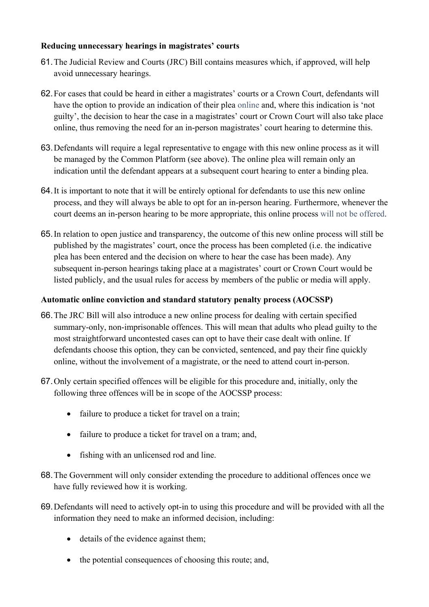### **Reducing unnecessary hearings in magistrates' courts**

- 61.The Judicial Review and Courts (JRC) Bill contains measures which, if approved, will help avoid unnecessary hearings.
- 62.For cases that could be heard in either a magistrates' courts or a Crown Court, defendants will have the option to provide an indication of their plea online and, where this indication is 'not guilty', the decision to hear the case in a magistrates' court or Crown Court will also take place online, thus removing the need for an in-person magistrates' court hearing to determine this.
- 63.Defendants will require a legal representative to engage with this new online process as it will be managed by the Common Platform (see above). The online plea will remain only an indication until the defendant appears at a subsequent court hearing to enter a binding plea.
- 64.It is important to note that it will be entirely optional for defendants to use this new online process, and they will always be able to opt for an in-person hearing. Furthermore, whenever the court deems an in-person hearing to be more appropriate, this online process will not be offered.
- 65.In relation to open justice and transparency, the outcome of this new online process will still be published by the magistrates' court, once the process has been completed (i.e. the indicative plea has been entered and the decision on where to hear the case has been made). Any subsequent in-person hearings taking place at a magistrates' court or Crown Court would be listed publicly, and the usual rules for access by members of the public or media will apply.

# **Automatic online conviction and standard statutory penalty process (AOCSSP)**

- 66.The JRC Bill will also introduce a new online process for dealing with certain specified summary-only, non-imprisonable offences. This will mean that adults who plead guilty to the most straightforward uncontested cases can opt to have their case dealt with online. If defendants choose this option, they can be convicted, sentenced, and pay their fine quickly online, without the involvement of a magistrate, or the need to attend court in-person.
- 67.Only certain specified offences will be eligible for this procedure and, initially, only the following three offences will be in scope of the AOCSSP process:
	- failure to produce a ticket for travel on a train;
	- failure to produce a ticket for travel on a tram; and,
	- fishing with an unlicensed rod and line.
- 68.The Government will only consider extending the procedure to additional offences once we have fully reviewed how it is working.
- 69.Defendants will need to actively opt-in to using this procedure and will be provided with all the information they need to make an informed decision, including:
	- details of the evidence against them;
	- the potential consequences of choosing this route; and,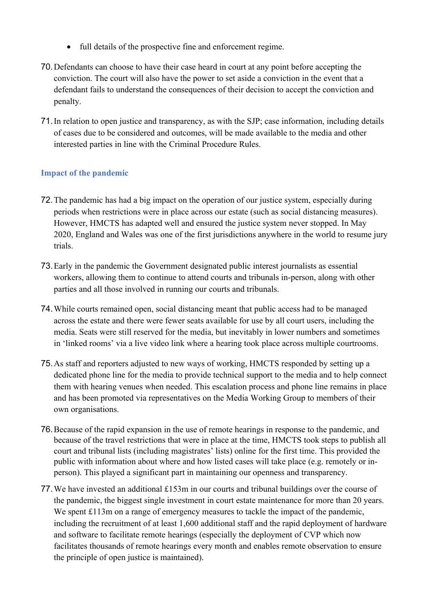- full details of the prospective fine and enforcement regime.
- 70.Defendants can choose to have their case heard in court at any point before accepting the conviction. The court will also have the power to set aside a conviction in the event that a defendant fails to understand the consequences of their decision to accept the conviction and penalty.
- 71.In relation to open justice and transparency, as with the SJP; case information, including details of cases due to be considered and outcomes, will be made available to the media and other interested parties in line with the Criminal Procedure Rules.

## **Impact of the pandemic**

- 72.The pandemic has had a big impact on the operation of our justice system, especially during periods when restrictions were in place across our estate (such as social distancing measures). However, HMCTS has adapted well and ensured the justice system never stopped. In May 2020, England and Wales was one of the first jurisdictions anywhere in the world to resume jury trials.
- 73.Early in the pandemic the Government designated public interest journalists as essential workers, allowing them to continue to attend courts and tribunals in-person, along with other parties and all those involved in running our courts and tribunals.
- 74.While courts remained open, social distancing meant that public access had to be managed across the estate and there were fewer seats available for use by all court users, including the media. Seats were still reserved for the media, but inevitably in lower numbers and sometimes in 'linked rooms' via a live video link where a hearing took place across multiple courtrooms.
- 75.As staff and reporters adjusted to new ways of working, HMCTS responded by setting up a dedicated phone line for the media to provide technical support to the media and to help connect them with hearing venues when needed. This escalation process and phone line remains in place and has been promoted via representatives on the Media Working Group to members of their own organisations.
- 76.Because of the rapid expansion in the use of remote hearings in response to the pandemic, and because of the travel restrictions that were in place at the time, HMCTS took steps to publish all court and tribunal lists (including magistrates' lists) online for the first time. This provided the public with information about where and how listed cases will take place (e.g. remotely or inperson). This played a significant part in maintaining our openness and transparency.
- 77.We have invested an additional £153m in our courts and tribunal buildings over the course of the pandemic, the biggest single investment in court estate maintenance for more than 20 years. We spent £113m on a range of emergency measures to tackle the impact of the pandemic, including the recruitment of at least 1,600 additional staff and the rapid deployment of hardware and software to facilitate remote hearings (especially the deployment of CVP which now facilitates thousands of remote hearings every month and enables remote observation to ensure the principle of open justice is maintained).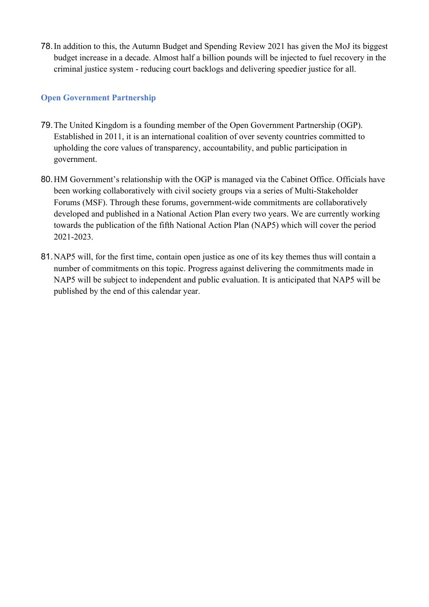78.In addition to this, the Autumn Budget and Spending Review 2021 has given the MoJ its biggest budget increase in a decade. Almost half a billion pounds will be injected to fuel recovery in the criminal justice system - reducing court backlogs and delivering speedier justice for all.

## **Open Government Partnership**

- 79.The United Kingdom is a founding member of the Open Government Partnership (OGP). Established in 2011, it is an international coalition of over seventy countries committed to upholding the core values of transparency, accountability, and public participation in government.
- 80. HM Government's relationship with the OGP is managed via the Cabinet Office. Officials have been working collaboratively with civil society groups via a series of Multi-Stakeholder Forums (MSF). Through these forums, government-wide commitments are collaboratively developed and published in a National Action Plan every two years. We are currently working towards the publication of the fifth National Action Plan (NAP5) which will cover the period 2021-2023.
- 81.NAP5 will, for the first time, contain open justice as one of its key themes thus will contain a number of commitments on this topic. Progress against delivering the commitments made in NAP5 will be subject to independent and public evaluation. It is anticipated that NAP5 will be published by the end of this calendar year.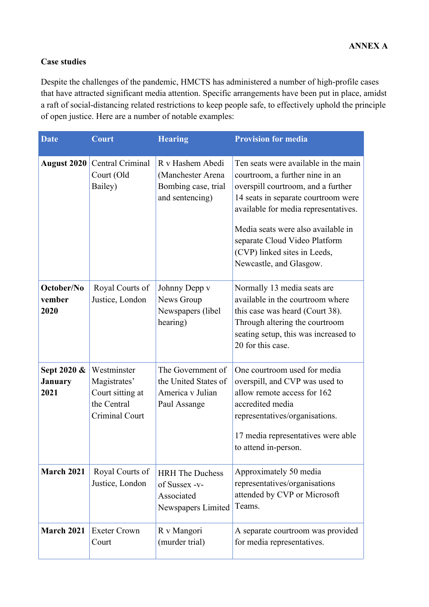## **Case studies**

Despite the challenges of the pandemic, HMCTS has administered a number of high-profile cases that have attracted significant media attention. Specific arrangements have been put in place, amidst a raft of social-distancing related restrictions to keep people safe, to effectively uphold the principle of open justice. Here are a number of notable examples:

| <b>Date</b>                           | Court                                                                            | <b>Hearing</b>                                                                  | <b>Provision for media</b>                                                                                                                                                                                                                                                                                                     |
|---------------------------------------|----------------------------------------------------------------------------------|---------------------------------------------------------------------------------|--------------------------------------------------------------------------------------------------------------------------------------------------------------------------------------------------------------------------------------------------------------------------------------------------------------------------------|
|                                       | <b>August 2020</b> Central Criminal<br>Court (Old<br>Bailey)                     | R v Hashem Abedi<br>(Manchester Arena<br>Bombing case, trial<br>and sentencing) | Ten seats were available in the main<br>courtroom, a further nine in an<br>overspill courtroom, and a further<br>14 seats in separate courtroom were<br>available for media representatives.<br>Media seats were also available in<br>separate Cloud Video Platform<br>(CVP) linked sites in Leeds,<br>Newcastle, and Glasgow. |
| October/No<br>vember<br>2020          | Royal Courts of<br>Justice, London                                               | Johnny Depp v<br>News Group<br>Newspapers (libel<br>hearing)                    | Normally 13 media seats are<br>available in the courtroom where<br>this case was heard (Court 38).<br>Through altering the courtroom<br>seating setup, this was increased to<br>20 for this case.                                                                                                                              |
| Sept 2020 &<br><b>January</b><br>2021 | Westminster<br>Magistrates'<br>Court sitting at<br>the Central<br>Criminal Court | The Government of<br>the United States of<br>America v Julian<br>Paul Assange   | One courtroom used for media<br>overspill, and CVP was used to<br>allow remote access for 162<br>accredited media<br>representatives/organisations.<br>17 media representatives were able<br>to attend in-person.                                                                                                              |
| <b>March 2021</b>                     | Royal Courts of<br>Justice, London                                               | <b>HRH</b> The Duchess<br>of Sussex -v-<br>Associated<br>Newspapers Limited     | Approximately 50 media<br>representatives/organisations<br>attended by CVP or Microsoft<br>Teams.                                                                                                                                                                                                                              |
| <b>March 2021</b>                     | <b>Exeter Crown</b><br>Court                                                     | R v Mangori<br>(murder trial)                                                   | A separate courtroom was provided<br>for media representatives.                                                                                                                                                                                                                                                                |